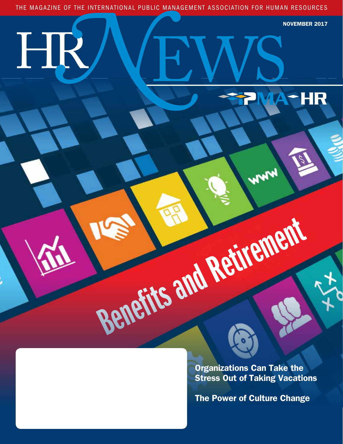THE MAGAZINE OF THE INTERNATIONAL PUBLIC MANAGEMENT ASSOCIATION FOR HUMAN RESOURCES **N** 

HR

EWS

Benefits and Retirement

NOVEMBER 2017

HR

Organizations Can Take the Stress Out of Taking Vacations

WWW

The Power of Culture Change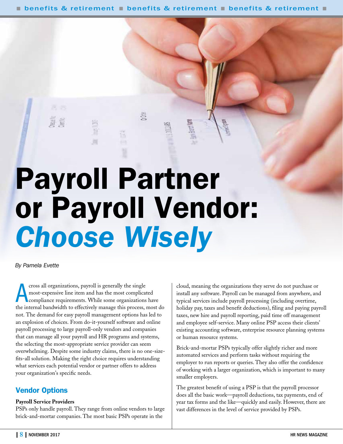**n** benefits & retirement **n** benefits & retirement **n** benefits & retirement **n** 

# Payroll Partner or Payroll Vendor: *Choose Wisely*

*By Pamela Evette*

cross all organizations, payroll is generally the single<br>most-expensive line item and has the most complicated<br>compliance requirements. While some organizations have<br>the internal bandwidth to effectively manage this proces cross all organizations, payroll is generally the single most-expensive line item and has the most complicated compliance requirements. While some organizations have not. The demand for easy payroll management options has led to an explosion of choices. From do-it-yourself software and online payroll processing to large payroll-only vendors and companies that can manage all your payroll and HR programs and systems, the selecting the most-appropriate service provider can seem overwhelming. Despite some industry claims, there is no one-sizefits-all solution. Making the right choice requires understanding what services each potential vendor or partner offers to address your organization's specific needs.

## Vendor Options

#### **Payroll Service Providers**

PSPs only handle payroll. They range from online vendors to large brick-and-mortar companies. The most basic PSPs operate in the

cloud, meaning the organizations they serve do not purchase or install any software. Payroll can be managed from anywhere, and typical services include payroll processing (including overtime, holiday pay, taxes and benefit deductions), filing and paying payroll taxes, new hire and payroll reporting, paid time off management and employee self-service. Many online PSP access their clients' existing accounting software, enterprise resource planning systems or human resource systems.

Brick-and-mortar PSPs typically offer slightly richer and more automated services and perform tasks without requiring the employer to run reports or queries. They also offer the confidence of working with a larger organization, which is important to many smaller employers.

The greatest benefit of using a PSP is that the payroll processor does all the basic work—payroll deductions, tax payments, end of year tax forms and the like—quickly and easily. However, there are vast differences in the level of service provided by PSPs.